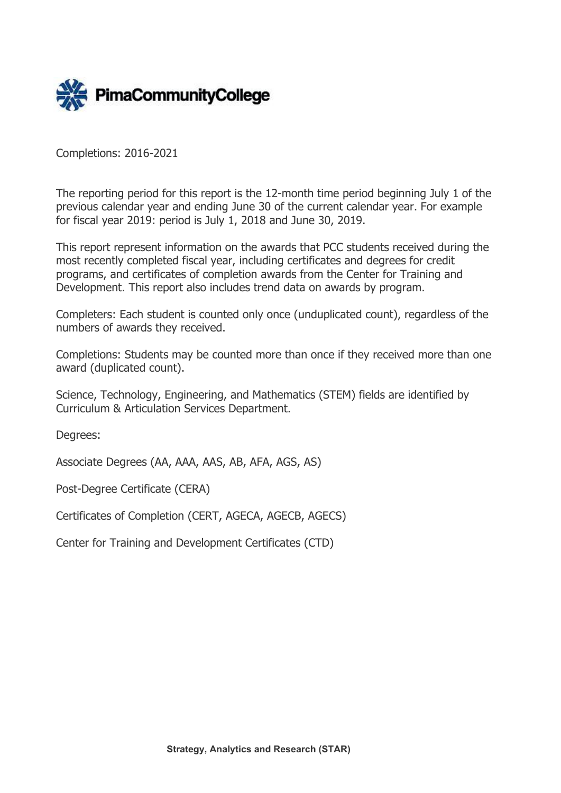

Completions: 2016-2021

The reporting period for this report is the 12-month time period beginning July 1 of the previous calendar year and ending June 30 of the current calendar year. For example for fiscal year 2019: period is July 1, 2018 and June 30, 2019.

This report represent information on the awards that PCC students received during the most recently completed fiscal year, including certificates and degrees for credit programs, and certificates of completion awards from the Center for Training and Development. This report also includes trend data on awards by program.

Completers: Each student is counted only once (unduplicated count), regardless of the numbers of awards they received.

Completions: Students may be counted more than once if they received more than one award (duplicated count).

Science, Technology, Engineering, and Mathematics (STEM) fields are identified by Curriculum & Articulation Services Department.

Degrees:

Associate Degrees (AA, AAA, AAS, AB, AFA, AGS, AS)

Post-Degree Certificate (CERA)

Certificates of Completion (CERT, AGECA, AGECB, AGECS)

Center for Training and Development Certificates (CTD)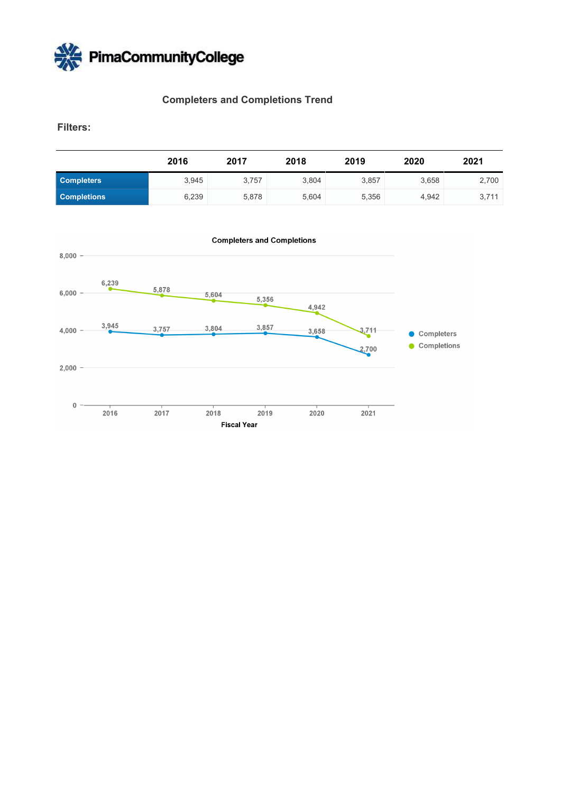

# **Completers and Completions Trend**

**Filters:** 

|                    | 2016  | 2017  | 2018  | 2019  | 2020  | 2021  |
|--------------------|-------|-------|-------|-------|-------|-------|
| <b>Completers</b>  | 3.945 | 3.757 | 3.804 | 3,857 | 3.658 | 2,700 |
| <b>Completions</b> | 6,239 | 5,878 | 5.604 | 5.356 | 4.942 | 3.711 |

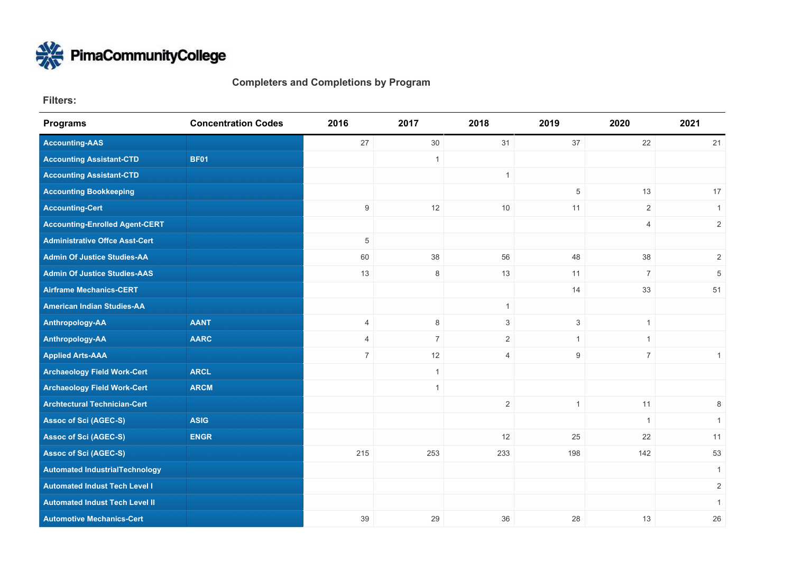

**Completers and Completions by Program**

**Filters:** 

| <b>Programs</b>                       | <b>Concentration Codes</b> | 2016           | 2017           | 2018           | 2019             | 2020           | 2021           |
|---------------------------------------|----------------------------|----------------|----------------|----------------|------------------|----------------|----------------|
| <b>Accounting-AAS</b>                 |                            | 27             | 30             | 31             | 37               | 22             | 21             |
| <b>Accounting Assistant-CTD</b>       | <b>BF01</b>                |                | $\overline{1}$ |                |                  |                |                |
| <b>Accounting Assistant-CTD</b>       |                            |                |                | $\mathbf{1}$   |                  |                |                |
| <b>Accounting Bookkeeping</b>         |                            |                |                |                | 5                | 13             | 17             |
| <b>Accounting-Cert</b>                |                            | 9              | 12             | 10             | 11               | 2              | 1              |
| <b>Accounting-Enrolled Agent-CERT</b> |                            |                |                |                |                  | $\overline{4}$ | $\overline{2}$ |
| <b>Administrative Offce Asst-Cert</b> |                            | 5              |                |                |                  |                |                |
| <b>Admin Of Justice Studies-AA</b>    |                            | 60             | 38             | 56             | 48               | 38             | $\overline{2}$ |
| <b>Admin Of Justice Studies-AAS</b>   |                            | 13             | 8              | 13             | 11               | $\sqrt{7}$     | 5              |
| <b>Airframe Mechanics-CERT</b>        |                            |                |                |                | 14               | 33             | 51             |
| <b>American Indian Studies-AA</b>     |                            |                |                | $\mathbf{1}$   |                  |                |                |
| Anthropology-AA                       | <b>AANT</b>                | 4              | 8              | 3              | 3                | $\mathbf{1}$   |                |
| Anthropology-AA                       | <b>AARC</b>                | $\overline{4}$ | $\overline{7}$ | $\overline{2}$ | $\mathbf{1}$     | $\mathbf{1}$   |                |
| <b>Applied Arts-AAA</b>               |                            | $\overline{7}$ | 12             | $\overline{4}$ | $\boldsymbol{9}$ | $\overline{7}$ | $\mathbf{1}$   |
| <b>Archaeology Field Work-Cert</b>    | <b>ARCL</b>                |                | $\mathbf{1}$   |                |                  |                |                |
| <b>Archaeology Field Work-Cert</b>    | <b>ARCM</b>                |                | $\mathbf{1}$   |                |                  |                |                |
| <b>Archtectural Technician-Cert</b>   |                            |                |                | $\mathbf{2}$   | $\overline{1}$   | 11             | 8              |
| <b>Assoc of Sci (AGEC-S)</b>          | <b>ASIG</b>                |                |                |                |                  | $\mathbf{1}$   | 1              |
| <b>Assoc of Sci (AGEC-S)</b>          | <b>ENGR</b>                |                |                | 12             | 25               | 22             | 11             |
| <b>Assoc of Sci (AGEC-S)</b>          |                            | 215            | 253            | 233            | 198              | 142            | 53             |
| <b>Automated IndustrialTechnology</b> |                            |                |                |                |                  |                | $\mathbf{1}$   |
| <b>Automated Indust Tech Level I</b>  |                            |                |                |                |                  |                | $\overline{c}$ |
| <b>Automated Indust Tech Level II</b> |                            |                |                |                |                  |                | $\mathbf{1}$   |
| <b>Automotive Mechanics-Cert</b>      |                            | 39             | 29             | 36             | 28               | 13             | 26             |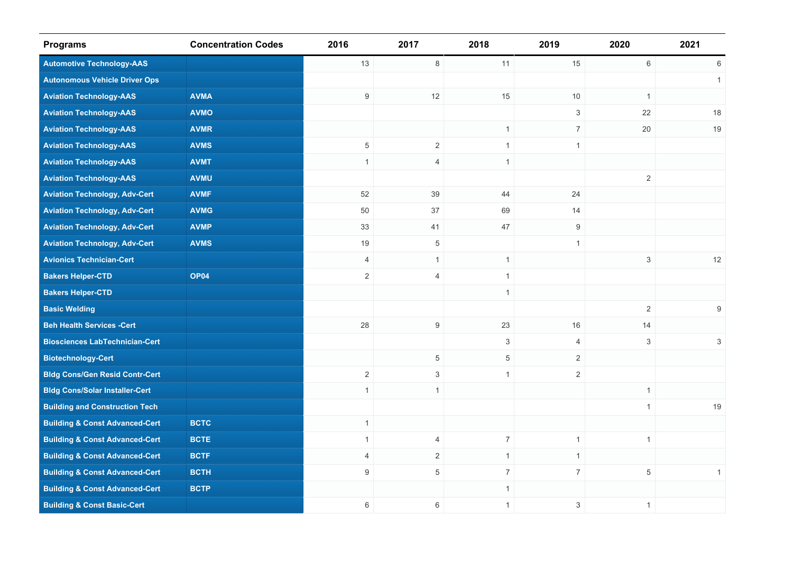| <b>Programs</b>                           | <b>Concentration Codes</b> | 2016           | 2017           | 2018           | 2019             | 2020           | 2021           |
|-------------------------------------------|----------------------------|----------------|----------------|----------------|------------------|----------------|----------------|
| <b>Automotive Technology-AAS</b>          |                            | 13             | $\,8\,$        | 11             | 15               | $6\,$          | 6              |
| <b>Autonomous Vehicle Driver Ops</b>      |                            |                |                |                |                  |                | $\mathbf{1}$   |
| <b>Aviation Technology-AAS</b>            | <b>AVMA</b>                | 9              | 12             | 15             | 10               | $\mathbf{1}$   |                |
| <b>Aviation Technology-AAS</b>            | <b>AVMO</b>                |                |                |                | 3                | 22             | 18             |
| <b>Aviation Technology-AAS</b>            | <b>AVMR</b>                |                |                | $\mathbf{1}$   | $\overline{7}$   | 20             | 19             |
| <b>Aviation Technology-AAS</b>            | <b>AVMS</b>                | $\,$ 5 $\,$    | $\overline{2}$ | $\mathbf{1}$   | $\mathbf{1}$     |                |                |
| <b>Aviation Technology-AAS</b>            | <b>AVMT</b>                | $\mathbf{1}$   | $\overline{4}$ | $\mathbf{1}$   |                  |                |                |
| <b>Aviation Technology-AAS</b>            | <b>AVMU</b>                |                |                |                |                  | $\overline{2}$ |                |
| <b>Aviation Technology, Adv-Cert</b>      | <b>AVMF</b>                | 52             | 39             | 44             | 24               |                |                |
| <b>Aviation Technology, Adv-Cert</b>      | <b>AVMG</b>                | 50             | 37             | 69             | 14               |                |                |
| <b>Aviation Technology, Adv-Cert</b>      | <b>AVMP</b>                | 33             | 41             | 47             | $\boldsymbol{9}$ |                |                |
| <b>Aviation Technology, Adv-Cert</b>      | <b>AVMS</b>                | 19             | $\overline{5}$ |                | $\mathbf{1}$     |                |                |
| <b>Avionics Technician-Cert</b>           |                            | 4              | $\mathbf{1}$   | $\mathbf{1}$   |                  | 3              | 12             |
| <b>Bakers Helper-CTD</b>                  | <b>OP04</b>                | $\sqrt{2}$     | $\overline{4}$ | $\mathbf{1}$   |                  |                |                |
| <b>Bakers Helper-CTD</b>                  |                            |                |                | $\mathbf{1}$   |                  |                |                |
| <b>Basic Welding</b>                      |                            |                |                |                |                  | $\sqrt{2}$     | 9              |
| <b>Beh Health Services -Cert</b>          |                            | 28             | 9              | 23             | 16               | 14             |                |
| <b>Biosciences LabTechnician-Cert</b>     |                            |                |                | 3              | $\overline{4}$   | $\mathbf{3}$   | $\mathfrak{S}$ |
| <b>Biotechnology-Cert</b>                 |                            |                | $\overline{5}$ | $\overline{5}$ | $\overline{2}$   |                |                |
| <b>Bldg Cons/Gen Resid Contr-Cert</b>     |                            | $\mathbf{2}$   | $\mathbf{3}$   | $\mathbf{1}$   | $\mathbf{2}$     |                |                |
| <b>Bldg Cons/Solar Installer-Cert</b>     |                            | $\mathbf{1}$   | $\mathbf{1}$   |                |                  | $\mathbf{1}$   |                |
| <b>Building and Construction Tech</b>     |                            |                |                |                |                  | $\mathbf{1}$   | 19             |
| <b>Building &amp; Const Advanced-Cert</b> | <b>BCTC</b>                | $\mathbf{1}$   |                |                |                  |                |                |
| <b>Building &amp; Const Advanced-Cert</b> | <b>BCTE</b>                | $\mathbf{1}$   | $\overline{4}$ | $\overline{7}$ | $\mathbf{1}$     | $\mathbf{1}$   |                |
| <b>Building &amp; Const Advanced-Cert</b> | <b>BCTF</b>                | $\overline{4}$ | $\overline{2}$ | $\mathbf{1}$   | $\mathbf{1}$     |                |                |
| <b>Building &amp; Const Advanced-Cert</b> | <b>BCTH</b>                | 9              | 5              | $\overline{7}$ | $7\overline{ }$  | $\overline{5}$ | $\mathbf{1}$   |
| <b>Building &amp; Const Advanced-Cert</b> | <b>BCTP</b>                |                |                | $\mathbf{1}$   |                  |                |                |
| <b>Building &amp; Const Basic-Cert</b>    |                            | 6              | 6              | $\mathbf{1}$   | 3                | $\mathbf{1}$   |                |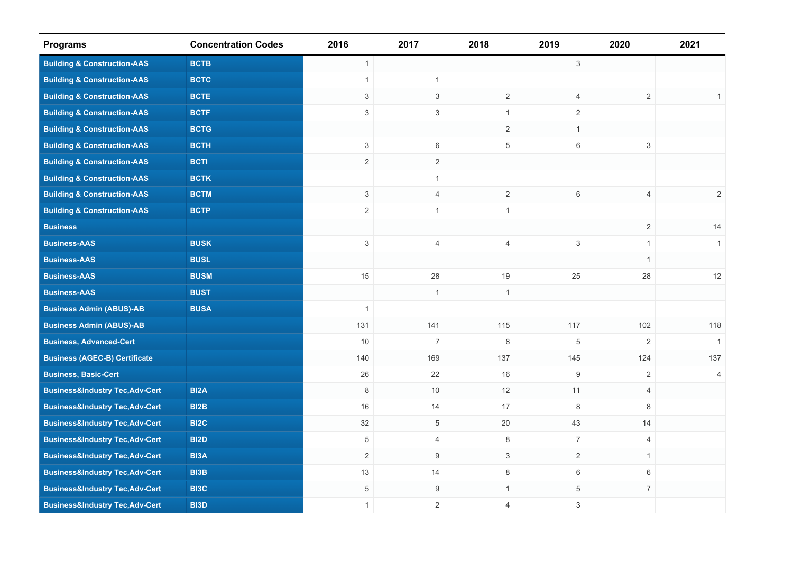| <b>Programs</b>                            | <b>Concentration Codes</b> | 2016                      | 2017           | 2018           | 2019           | 2020           | 2021         |
|--------------------------------------------|----------------------------|---------------------------|----------------|----------------|----------------|----------------|--------------|
| <b>Building &amp; Construction-AAS</b>     | <b>BCTB</b>                | $\mathbf{1}$              |                |                | $\mathbf{3}$   |                |              |
| <b>Building &amp; Construction-AAS</b>     | <b>BCTC</b>                | $\mathbf{1}$              | $\mathbf{1}$   |                |                |                |              |
| <b>Building &amp; Construction-AAS</b>     | <b>BCTE</b>                | $\ensuremath{\mathsf{3}}$ | 3              | $\overline{2}$ | $\overline{4}$ | $\mathbf{2}$   | 1            |
| <b>Building &amp; Construction-AAS</b>     | <b>BCTF</b>                | $\mathfrak{Z}$            | $\mathbf{3}$   | $\mathbf{1}$   | $\overline{2}$ |                |              |
| <b>Building &amp; Construction-AAS</b>     | <b>BCTG</b>                |                           |                | $\overline{2}$ | $\mathbf{1}$   |                |              |
| <b>Building &amp; Construction-AAS</b>     | <b>BCTH</b>                | $\mathbf{3}$              | $6\,$          | $\overline{5}$ | $\,6\,$        | $\mathbf{3}$   |              |
| <b>Building &amp; Construction-AAS</b>     | <b>BCTI</b>                | 2                         | $\overline{2}$ |                |                |                |              |
| <b>Building &amp; Construction-AAS</b>     | <b>BCTK</b>                |                           | $\mathbf{1}$   |                |                |                |              |
| <b>Building &amp; Construction-AAS</b>     | <b>BCTM</b>                | 3                         | $\overline{4}$ | $\overline{2}$ | 6              | $\overline{4}$ | 2            |
| <b>Building &amp; Construction-AAS</b>     | <b>BCTP</b>                | $\overline{2}$            | $\mathbf{1}$   | $\mathbf{1}$   |                |                |              |
| <b>Business</b>                            |                            |                           |                |                |                | $\overline{2}$ | 14           |
| <b>Business-AAS</b>                        | <b>BUSK</b>                | 3                         | $\overline{4}$ | 4              | $\mathsf 3$    | $\mathbf{1}$   | $\mathbf{1}$ |
| <b>Business-AAS</b>                        | <b>BUSL</b>                |                           |                |                |                | $\mathbf{1}$   |              |
| <b>Business-AAS</b>                        | <b>BUSM</b>                | 15                        | 28             | 19             | 25             | 28             | 12           |
| <b>Business-AAS</b>                        | <b>BUST</b>                |                           | $\mathbf{1}$   | $\mathbf{1}$   |                |                |              |
| <b>Business Admin (ABUS)-AB</b>            | <b>BUSA</b>                | $\mathbf{1}$              |                |                |                |                |              |
| <b>Business Admin (ABUS)-AB</b>            |                            | 131                       | 141            | 115            | 117            | 102            | 118          |
| <b>Business, Advanced-Cert</b>             |                            | 10                        | $\overline{7}$ | 8              | 5              | 2              | $\mathbf{1}$ |
| <b>Business (AGEC-B) Certificate</b>       |                            | 140                       | 169            | 137            | 145            | 124            | 137          |
| <b>Business, Basic-Cert</b>                |                            | 26                        | 22             | 16             | $9\,$          | 2              | 4            |
| <b>Business&amp;Industry Tec,Adv-Cert</b>  | BI <sub>2</sub> A          | 8                         | 10             | 12             | 11             | $\overline{4}$ |              |
| <b>Business&amp;Industry Tec,Adv-Cert</b>  | BI2B                       | 16                        | 14             | 17             | 8              | 8              |              |
| <b>Business&amp;Industry Tec, Adv-Cert</b> | BI <sub>2</sub> C          | 32                        | 5              | 20             | 43             | 14             |              |
| <b>Business&amp;Industry Tec, Adv-Cert</b> | <b>BI2D</b>                | 5                         | $\overline{4}$ | 8              | $\overline{7}$ | $\overline{4}$ |              |
| <b>Business&amp;Industry Tec, Adv-Cert</b> | BI3A                       | $\overline{2}$            | 9              | $\mathfrak{S}$ | $\overline{2}$ | $\mathbf{1}$   |              |
| <b>Business&amp;Industry Tec,Adv-Cert</b>  | <b>BI3B</b>                | 13                        | 14             | 8              | 6              | 6              |              |
| <b>Business&amp;Industry Tec, Adv-Cert</b> | <b>BI3C</b>                | 5                         | $9\,$          | $\mathbf{1}$   | 5              | $\overline{7}$ |              |
| <b>Business&amp;Industry Tec, Adv-Cert</b> | <b>BI3D</b>                | $\mathbf{1}$              | $\sqrt{2}$     | $\overline{4}$ | 3              |                |              |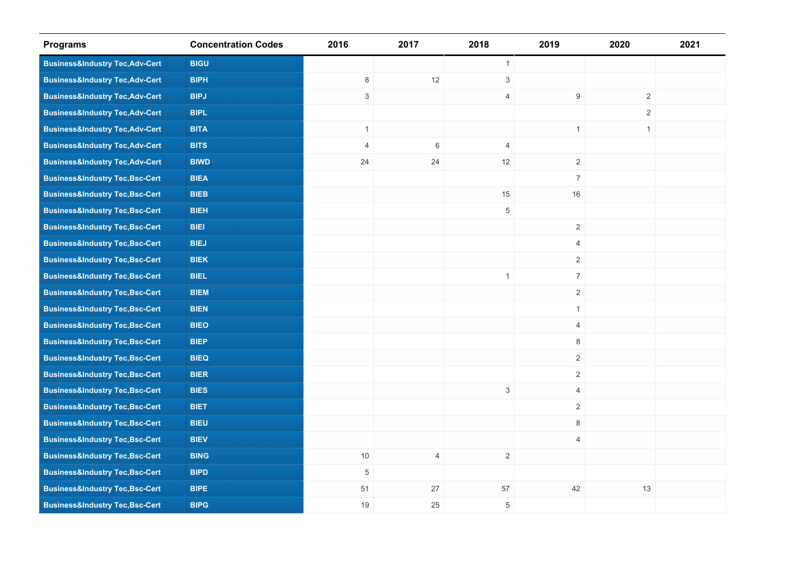| <b>Programs</b>                            | <b>Concentration Codes</b> | 2016           | 2017           | 2018           | 2019           | 2020         | 2021 |
|--------------------------------------------|----------------------------|----------------|----------------|----------------|----------------|--------------|------|
| <b>Business&amp;Industry Tec, Adv-Cert</b> | <b>BIGU</b>                |                |                | $\mathbf{1}$   |                |              |      |
| <b>Business&amp;Industry Tec,Adv-Cert</b>  | <b>BIPH</b>                | 8              | 12             | $\mathfrak{S}$ |                |              |      |
| <b>Business&amp;Industry Tec, Adv-Cert</b> | <b>BIPJ</b>                | $\mathfrak{S}$ |                | $\overline{4}$ | 9              | $\sqrt{2}$   |      |
| <b>Business&amp;Industry Tec, Adv-Cert</b> | <b>BIPL</b>                |                |                |                |                | 2            |      |
| <b>Business&amp;Industry Tec, Adv-Cert</b> | <b>BITA</b>                | $\mathbf{1}$   |                |                | $\mathbf{1}$   | $\mathbf{1}$ |      |
| <b>Business&amp;Industry Tec, Adv-Cert</b> | <b>BITS</b>                | $\overline{4}$ | 6              | $\overline{4}$ |                |              |      |
| <b>Business&amp;Industry Tec, Adv-Cert</b> | <b>BIWD</b>                | 24             | 24             | 12             | $\overline{2}$ |              |      |
| <b>Business&amp;Industry Tec,Bsc-Cert</b>  | <b>BIEA</b>                |                |                |                | $\overline{7}$ |              |      |
| <b>Business&amp;Industry Tec,Bsc-Cert</b>  | <b>BIEB</b>                |                |                | 15             | 16             |              |      |
| <b>Business&amp;Industry Tec, Bsc-Cert</b> | <b>BIEH</b>                |                |                | $\,$ 5 $\,$    |                |              |      |
| <b>Business&amp;Industry Tec, Bsc-Cert</b> | <b>BIEI</b>                |                |                |                | $\overline{2}$ |              |      |
| <b>Business&amp;Industry Tec, Bsc-Cert</b> | <b>BIEJ</b>                |                |                |                | $\overline{4}$ |              |      |
| <b>Business&amp;Industry Tec, Bsc-Cert</b> | <b>BIEK</b>                |                |                |                | $\overline{2}$ |              |      |
| <b>Business&amp;Industry Tec,Bsc-Cert</b>  | <b>BIEL</b>                |                |                | $\mathbf{1}$   | $\overline{7}$ |              |      |
| <b>Business&amp;Industry Tec,Bsc-Cert</b>  | <b>BIEM</b>                |                |                |                | $\overline{2}$ |              |      |
| <b>Business&amp;Industry Tec, Bsc-Cert</b> | <b>BIEN</b>                |                |                |                | $\mathbf{1}$   |              |      |
| <b>Business&amp;Industry Tec,Bsc-Cert</b>  | <b>BIEO</b>                |                |                |                | $\overline{4}$ |              |      |
| <b>Business&amp;Industry Tec, Bsc-Cert</b> | <b>BIEP</b>                |                |                |                | 8              |              |      |
| <b>Business&amp;Industry Tec,Bsc-Cert</b>  | <b>BIEQ</b>                |                |                |                | $\overline{2}$ |              |      |
| <b>Business&amp;Industry Tec,Bsc-Cert</b>  | <b>BIER</b>                |                |                |                | $\overline{2}$ |              |      |
| <b>Business&amp;Industry Tec,Bsc-Cert</b>  | <b>BIES</b>                |                |                | $\mathbf{3}$   | $\overline{4}$ |              |      |
| <b>Business&amp;Industry Tec,Bsc-Cert</b>  | <b>BIET</b>                |                |                |                | $\overline{2}$ |              |      |
| <b>Business&amp;Industry Tec, Bsc-Cert</b> | <b>BIEU</b>                |                |                |                | 8              |              |      |
| <b>Business&amp;Industry Tec,Bsc-Cert</b>  | <b>BIEV</b>                |                |                |                | $\overline{4}$ |              |      |
| <b>Business&amp;Industry Tec,Bsc-Cert</b>  | <b>BING</b>                | 10             | $\overline{4}$ | $\overline{2}$ |                |              |      |
| <b>Business&amp;Industry Tec,Bsc-Cert</b>  | <b>BIPD</b>                | $\,$ 5 $\,$    |                |                |                |              |      |
| <b>Business&amp;Industry Tec,Bsc-Cert</b>  | <b>BIPE</b>                | 51             | 27             | 57             | 42             | 13           |      |
| <b>Business&amp;Industry Tec,Bsc-Cert</b>  | <b>BIPG</b>                | 19             | 25             | $\,$ 5 $\,$    |                |              |      |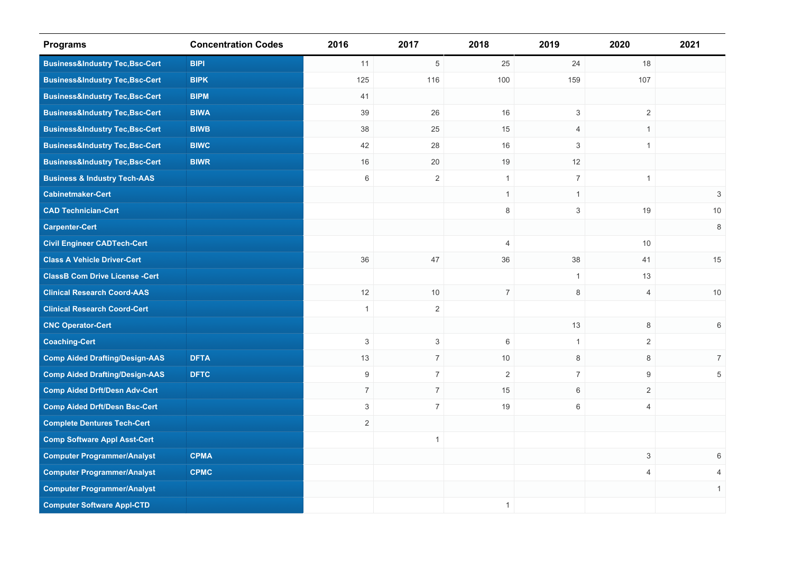| <b>Programs</b>                            | <b>Concentration Codes</b> | 2016                      | 2017           | 2018           | 2019                      | 2020           | 2021           |
|--------------------------------------------|----------------------------|---------------------------|----------------|----------------|---------------------------|----------------|----------------|
| <b>Business&amp;Industry Tec,Bsc-Cert</b>  | <b>BIPI</b>                | 11                        | 5              | 25             | 24                        | 18             |                |
| <b>Business&amp;Industry Tec,Bsc-Cert</b>  | <b>BIPK</b>                | 125                       | 116            | 100            | 159                       | 107            |                |
| <b>Business&amp;Industry Tec, Bsc-Cert</b> | <b>BIPM</b>                | 41                        |                |                |                           |                |                |
| <b>Business&amp;Industry Tec, Bsc-Cert</b> | <b>BIWA</b>                | 39                        | 26             | 16             | $\mathsf 3$               | $\overline{2}$ |                |
| <b>Business&amp;Industry Tec, Bsc-Cert</b> | <b>BIWB</b>                | 38                        | 25             | 15             | 4                         | $\mathbf{1}$   |                |
| <b>Business&amp;Industry Tec, Bsc-Cert</b> | <b>BIWC</b>                | 42                        | 28             | 16             | 3                         | $\mathbf{1}$   |                |
| <b>Business&amp;Industry Tec, Bsc-Cert</b> | <b>BIWR</b>                | 16                        | 20             | 19             | 12                        |                |                |
| <b>Business &amp; Industry Tech-AAS</b>    |                            | 6                         | $\overline{2}$ | $\mathbf{1}$   | $\overline{7}$            | $\mathbf{1}$   |                |
| <b>Cabinetmaker-Cert</b>                   |                            |                           |                | $\mathbf{1}$   | $\mathbf{1}$              |                | 3              |
| <b>CAD Technician-Cert</b>                 |                            |                           |                | $\,8\,$        | $\ensuremath{\mathsf{3}}$ | 19             | $10$           |
| <b>Carpenter-Cert</b>                      |                            |                           |                |                |                           |                | $\,8\,$        |
| <b>Civil Engineer CADTech-Cert</b>         |                            |                           |                | $\overline{4}$ |                           | 10             |                |
| <b>Class A Vehicle Driver-Cert</b>         |                            | 36                        | 47             | 36             | 38                        | 41             | 15             |
| <b>ClassB Com Drive License -Cert</b>      |                            |                           |                |                | $\mathbf{1}$              | 13             |                |
| <b>Clinical Research Coord-AAS</b>         |                            | 12                        | 10             | $\overline{7}$ | $\,8\,$                   | $\overline{4}$ | 10             |
| <b>Clinical Research Coord-Cert</b>        |                            | $\mathbf{1}$              | $\overline{2}$ |                |                           |                |                |
| <b>CNC Operator-Cert</b>                   |                            |                           |                |                | 13                        | 8              | 6              |
| <b>Coaching-Cert</b>                       |                            | $\mathbf{3}$              | 3              | $\,6\,$        | $\mathbf{1}$              | $\overline{2}$ |                |
| <b>Comp Aided Drafting/Design-AAS</b>      | <b>DFTA</b>                | 13                        | $\overline{7}$ | 10             | $\,8\,$                   | 8              | $\overline{7}$ |
| <b>Comp Aided Drafting/Design-AAS</b>      | <b>DFTC</b>                | 9                         | $\overline{7}$ | 2              | $7\overline{ }$           | 9              | 5              |
| <b>Comp Aided Drft/Desn Adv-Cert</b>       |                            | $\overline{7}$            | $\overline{7}$ | 15             | 6                         | $\overline{2}$ |                |
| <b>Comp Aided Drft/Desn Bsc-Cert</b>       |                            | $\ensuremath{\mathsf{3}}$ | $\overline{7}$ | 19             | 6                         | $\overline{4}$ |                |
| <b>Complete Dentures Tech-Cert</b>         |                            | $\sqrt{2}$                |                |                |                           |                |                |
| <b>Comp Software Appl Asst-Cert</b>        |                            |                           | $\mathbf{1}$   |                |                           |                |                |
| <b>Computer Programmer/Analyst</b>         | <b>CPMA</b>                |                           |                |                |                           | $\mathfrak{S}$ | 6              |
| <b>Computer Programmer/Analyst</b>         | <b>CPMC</b>                |                           |                |                |                           | $\overline{4}$ | 4              |
| <b>Computer Programmer/Analyst</b>         |                            |                           |                |                |                           |                | $\mathbf{1}$   |
| <b>Computer Software Appl-CTD</b>          |                            |                           |                | $\mathbf{1}$   |                           |                |                |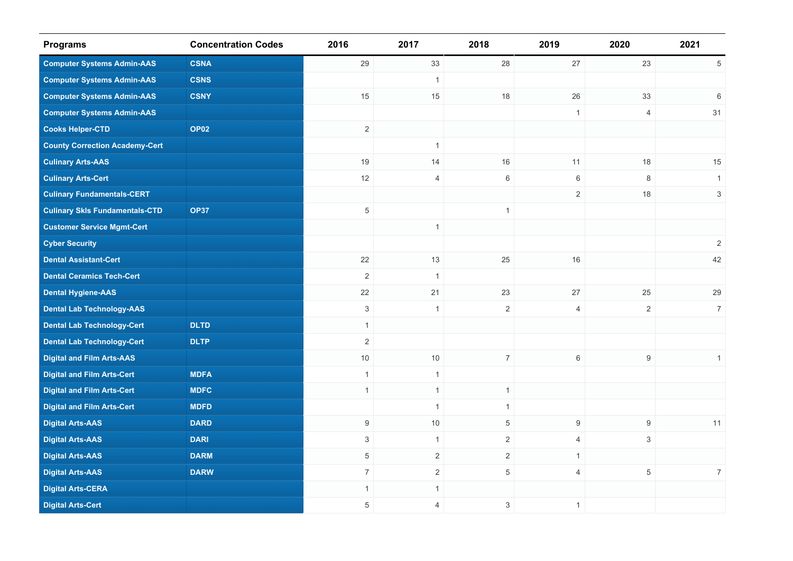| <b>Programs</b>                       | <b>Concentration Codes</b> | 2016           | 2017           | 2018                      | 2019             | 2020             | 2021           |
|---------------------------------------|----------------------------|----------------|----------------|---------------------------|------------------|------------------|----------------|
| <b>Computer Systems Admin-AAS</b>     | <b>CSNA</b>                | 29             | 33             | 28                        | 27               | 23               | 5              |
| <b>Computer Systems Admin-AAS</b>     | <b>CSNS</b>                |                | $\mathbf{1}$   |                           |                  |                  |                |
| <b>Computer Systems Admin-AAS</b>     | <b>CSNY</b>                | 15             | 15             | 18                        | 26               | 33               | 6              |
| <b>Computer Systems Admin-AAS</b>     |                            |                |                |                           | $\overline{1}$   | $\overline{4}$   | 31             |
| <b>Cooks Helper-CTD</b>               | OP <sub>02</sub>           | $\overline{2}$ |                |                           |                  |                  |                |
| <b>County Correction Academy-Cert</b> |                            |                | $\mathbf{1}$   |                           |                  |                  |                |
| <b>Culinary Arts-AAS</b>              |                            | 19             | 14             | 16                        | 11               | 18               | 15             |
| <b>Culinary Arts-Cert</b>             |                            | 12             | $\overline{4}$ | 6                         | 6                | 8                | $\mathbf{1}$   |
| <b>Culinary Fundamentals-CERT</b>     |                            |                |                |                           | $\sqrt{2}$       | 18               | $\mathsf 3$    |
| <b>Culinary Skls Fundamentals-CTD</b> | <b>OP37</b>                | $\,$ 5 $\,$    |                | $\mathbf{1}$              |                  |                  |                |
| <b>Customer Service Mgmt-Cert</b>     |                            |                | $\mathbf{1}$   |                           |                  |                  |                |
| <b>Cyber Security</b>                 |                            |                |                |                           |                  |                  | $\sqrt{2}$     |
| <b>Dental Assistant-Cert</b>          |                            | 22             | 13             | 25                        | 16               |                  | 42             |
| <b>Dental Ceramics Tech-Cert</b>      |                            | $\sqrt{2}$     | $\mathbf{1}$   |                           |                  |                  |                |
| <b>Dental Hygiene-AAS</b>             |                            | 22             | 21             | 23                        | $27\,$           | 25               | 29             |
| <b>Dental Lab Technology-AAS</b>      |                            | $\mathbf{3}$   | $\mathbf{1}$   | $\overline{2}$            | $\overline{4}$   | $\overline{2}$   | $\overline{7}$ |
| <b>Dental Lab Technology-Cert</b>     | <b>DLTD</b>                | $\overline{1}$ |                |                           |                  |                  |                |
| <b>Dental Lab Technology-Cert</b>     | <b>DLTP</b>                | $\overline{2}$ |                |                           |                  |                  |                |
| <b>Digital and Film Arts-AAS</b>      |                            | $10$           | 10             | $\overline{7}$            | $\,6\,$          | $9\,$            | $\mathbf{1}$   |
| <b>Digital and Film Arts-Cert</b>     | <b>MDFA</b>                | $\overline{1}$ | $\mathbf{1}$   |                           |                  |                  |                |
| <b>Digital and Film Arts-Cert</b>     | <b>MDFC</b>                | $\overline{1}$ | $\mathbf{1}$   | $\mathbf{1}$              |                  |                  |                |
| <b>Digital and Film Arts-Cert</b>     | <b>MDFD</b>                |                | $\mathbf{1}$   | $\mathbf{1}$              |                  |                  |                |
| <b>Digital Arts-AAS</b>               | <b>DARD</b>                | 9              | 10             | $\,$ 5 $\,$               | $\boldsymbol{9}$ | $\boldsymbol{9}$ | 11             |
| <b>Digital Arts-AAS</b>               | <b>DARI</b>                | 3              | $\mathbf{1}$   | $\overline{2}$            | $\overline{4}$   | 3                |                |
| <b>Digital Arts-AAS</b>               | <b>DARM</b>                | 5              | 2              | $\overline{2}$            | $\mathbf{1}$     |                  |                |
| <b>Digital Arts-AAS</b>               | <b>DARW</b>                | $\overline{7}$ | $\overline{2}$ | 5                         | $\overline{4}$   | $\overline{5}$   | 7 <sup>7</sup> |
| <b>Digital Arts-CERA</b>              |                            | $\overline{1}$ | $\mathbf{1}$   |                           |                  |                  |                |
| <b>Digital Arts-Cert</b>              |                            | 5              | 4              | $\ensuremath{\mathsf{3}}$ | $\overline{1}$   |                  |                |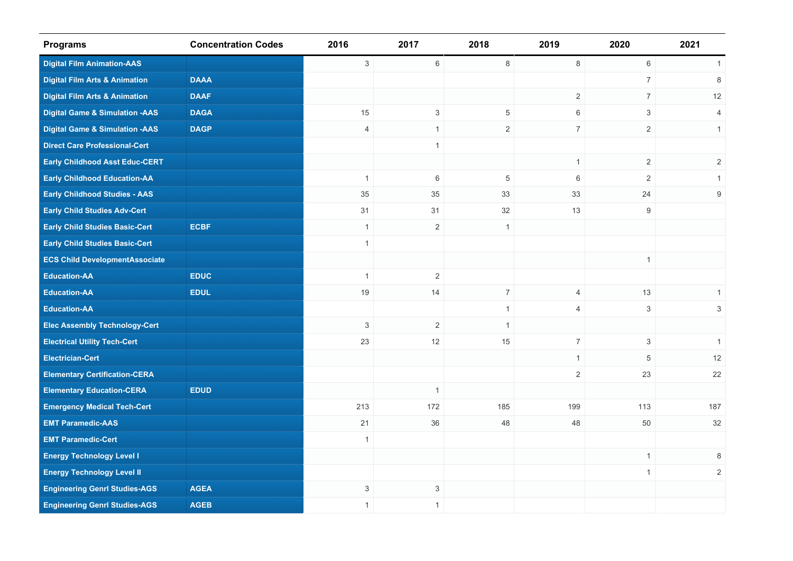| <b>Programs</b>                           | <b>Concentration Codes</b> | 2016           | 2017           | 2018           | 2019           | 2020                      | 2021           |
|-------------------------------------------|----------------------------|----------------|----------------|----------------|----------------|---------------------------|----------------|
| <b>Digital Film Animation-AAS</b>         |                            | $\mathbf{3}$   | $6\,$          | 8              | 8              | $\,6\,$                   | $\mathbf{1}$   |
| <b>Digital Film Arts &amp; Animation</b>  | <b>DAAA</b>                |                |                |                |                | $\overline{7}$            | 8              |
| <b>Digital Film Arts &amp; Animation</b>  | <b>DAAF</b>                |                |                |                | 2              | $\overline{7}$            | 12             |
| <b>Digital Game &amp; Simulation -AAS</b> | <b>DAGA</b>                | 15             | 3              | 5              | 6              | 3                         | 4              |
| <b>Digital Game &amp; Simulation -AAS</b> | <b>DAGP</b>                | $\overline{4}$ | $\mathbf{1}$   | $\overline{2}$ | $\overline{7}$ | $\mathbf{2}$              | $\mathbf{1}$   |
| <b>Direct Care Professional-Cert</b>      |                            |                | $\mathbf{1}$   |                |                |                           |                |
| <b>Early Childhood Asst Educ-CERT</b>     |                            |                |                |                | $\overline{1}$ | $\mathbf{2}$              | $\sqrt{2}$     |
| <b>Early Childhood Education-AA</b>       |                            | $\overline{1}$ | 6              | 5              | 6              | 2                         | $\mathbf{1}$   |
| <b>Early Childhood Studies - AAS</b>      |                            | 35             | 35             | 33             | 33             | 24                        | 9              |
| <b>Early Child Studies Adv-Cert</b>       |                            | 31             | 31             | 32             | 13             | 9                         |                |
| <b>Early Child Studies Basic-Cert</b>     | <b>ECBF</b>                | $\mathbf{1}$   | $\overline{2}$ | $\mathbf{1}$   |                |                           |                |
| <b>Early Child Studies Basic-Cert</b>     |                            | $\overline{1}$ |                |                |                |                           |                |
| <b>ECS Child DevelopmentAssociate</b>     |                            |                |                |                |                | $\mathbf{1}$              |                |
| <b>Education-AA</b>                       | <b>EDUC</b>                | $\mathbf{1}$   | $\overline{2}$ |                |                |                           |                |
| <b>Education-AA</b>                       | <b>EDUL</b>                | 19             | 14             | $\overline{7}$ | $\overline{4}$ | 13                        | $\mathbf{1}$   |
| <b>Education-AA</b>                       |                            |                |                | $\mathbf{1}$   | $\overline{4}$ | $\ensuremath{\mathsf{3}}$ | $\mathbf{3}$   |
| <b>Elec Assembly Technology-Cert</b>      |                            | 3              | 2              | $\mathbf{1}$   |                |                           |                |
| <b>Electrical Utility Tech-Cert</b>       |                            | 23             | 12             | 15             | $\overline{7}$ | $\mathbf{3}$              | $\mathbf{1}$   |
| <b>Electrician-Cert</b>                   |                            |                |                |                | $\mathbf{1}$   | 5                         | 12             |
| <b>Elementary Certification-CERA</b>      |                            |                |                |                | $\overline{2}$ | 23                        | 22             |
| <b>Elementary Education-CERA</b>          | <b>EDUD</b>                |                | $\mathbf{1}$   |                |                |                           |                |
| <b>Emergency Medical Tech-Cert</b>        |                            | 213            | 172            | 185            | 199            | 113                       | 187            |
| <b>EMT Paramedic-AAS</b>                  |                            | 21             | 36             | 48             | 48             | 50                        | 32             |
| <b>EMT Paramedic-Cert</b>                 |                            | $\mathbf{1}$   |                |                |                |                           |                |
| <b>Energy Technology Level I</b>          |                            |                |                |                |                | $\mathbf{1}$              | 8              |
| <b>Energy Technology Level II</b>         |                            |                |                |                |                | $\mathbf{1}$              | $\overline{2}$ |
| <b>Engineering Genrl Studies-AGS</b>      | <b>AGEA</b>                | 3              | 3              |                |                |                           |                |
| <b>Engineering Genrl Studies-AGS</b>      | <b>AGEB</b>                | $\mathbf{1}$   | $\mathbf{1}$   |                |                |                           |                |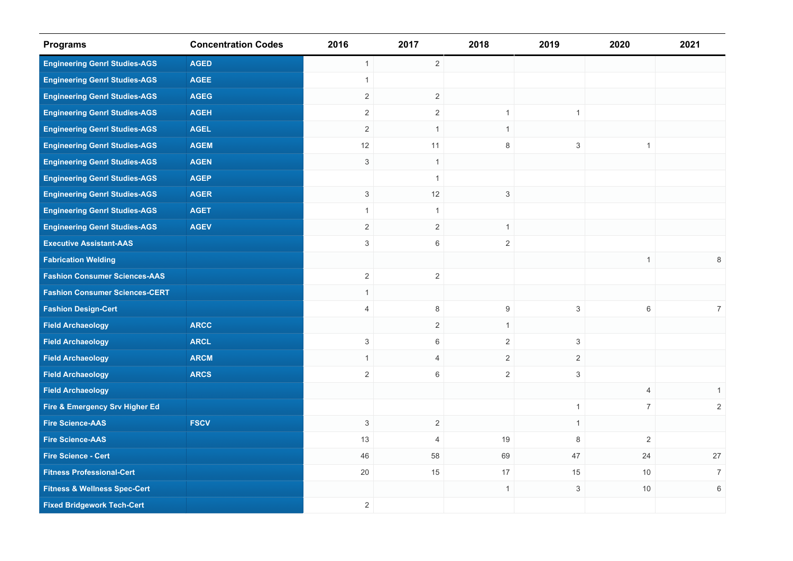| <b>Programs</b>                         | <b>Concentration Codes</b> | 2016           | 2017           | 2018                      | 2019                      | 2020           | 2021           |
|-----------------------------------------|----------------------------|----------------|----------------|---------------------------|---------------------------|----------------|----------------|
| <b>Engineering Genrl Studies-AGS</b>    | <b>AGED</b>                | $\mathbf{1}$   | $\overline{2}$ |                           |                           |                |                |
| <b>Engineering Genrl Studies-AGS</b>    | <b>AGEE</b>                | $\overline{1}$ |                |                           |                           |                |                |
| <b>Engineering Genrl Studies-AGS</b>    | <b>AGEG</b>                | $\overline{2}$ | $\overline{2}$ |                           |                           |                |                |
| <b>Engineering Genrl Studies-AGS</b>    | <b>AGEH</b>                | 2              | $\overline{2}$ | $\mathbf{1}$              | $\mathbf{1}$              |                |                |
| <b>Engineering Genrl Studies-AGS</b>    | <b>AGEL</b>                | $\overline{c}$ | $\mathbf{1}$   | $\mathbf{1}$              |                           |                |                |
| <b>Engineering Genrl Studies-AGS</b>    | <b>AGEM</b>                | 12             | 11             | 8                         | 3                         | $\mathbf{1}$   |                |
| <b>Engineering Genrl Studies-AGS</b>    | <b>AGEN</b>                | $\mathsf 3$    | $\mathbf{1}$   |                           |                           |                |                |
| <b>Engineering Genrl Studies-AGS</b>    | <b>AGEP</b>                |                | $\mathbf{1}$   |                           |                           |                |                |
| <b>Engineering Genrl Studies-AGS</b>    | <b>AGER</b>                | $\mathbf{3}$   | 12             | $\ensuremath{\mathsf{3}}$ |                           |                |                |
| <b>Engineering Genrl Studies-AGS</b>    | <b>AGET</b>                | $\mathbf{1}$   | $\mathbf{1}$   |                           |                           |                |                |
| <b>Engineering Genrl Studies-AGS</b>    | <b>AGEV</b>                | $\sqrt{2}$     | $\overline{2}$ | $\mathbf{1}$              |                           |                |                |
| <b>Executive Assistant-AAS</b>          |                            | 3              | 6              | $\overline{2}$            |                           |                |                |
| <b>Fabrication Welding</b>              |                            |                |                |                           |                           | $\mathbf{1}$   | 8              |
| <b>Fashion Consumer Sciences-AAS</b>    |                            | $\overline{2}$ | $\sqrt{2}$     |                           |                           |                |                |
| <b>Fashion Consumer Sciences-CERT</b>   |                            | $\mathbf{1}$   |                |                           |                           |                |                |
| <b>Fashion Design-Cert</b>              |                            | $\overline{4}$ | 8              | 9                         | $\mathsf 3$               | $\,6\,$        | $\overline{7}$ |
| <b>Field Archaeology</b>                | <b>ARCC</b>                |                | $\overline{2}$ | $\mathbf{1}$              |                           |                |                |
| <b>Field Archaeology</b>                | <b>ARCL</b>                | 3              | 6              | $\overline{2}$            | 3                         |                |                |
| <b>Field Archaeology</b>                | <b>ARCM</b>                | $\mathbf{1}$   | $\overline{4}$ | $\overline{2}$            | $\overline{2}$            |                |                |
| <b>Field Archaeology</b>                | <b>ARCS</b>                | $\overline{2}$ | 6              | $\overline{2}$            | 3                         |                |                |
| <b>Field Archaeology</b>                |                            |                |                |                           |                           | $\overline{4}$ | $\mathbf{1}$   |
| Fire & Emergency Srv Higher Ed          |                            |                |                |                           | $\mathbf{1}$              | $\overline{7}$ | $\overline{2}$ |
| <b>Fire Science-AAS</b>                 | <b>FSCV</b>                | 3              | $\sqrt{2}$     |                           | $\mathbf{1}$              |                |                |
| <b>Fire Science-AAS</b>                 |                            | 13             | $\overline{4}$ | 19                        | 8                         | $\overline{2}$ |                |
| <b>Fire Science - Cert</b>              |                            | 46             | 58             | 69                        | 47                        | 24             | $27\,$         |
| <b>Fitness Professional-Cert</b>        |                            | $20\,$         | 15             | 17                        | 15                        | 10             | $\overline{7}$ |
| <b>Fitness &amp; Wellness Spec-Cert</b> |                            |                |                | $\mathbf{1}$              | $\ensuremath{\mathsf{3}}$ | $10$           | $\,6$          |
| <b>Fixed Bridgework Tech-Cert</b>       |                            | $\overline{2}$ |                |                           |                           |                |                |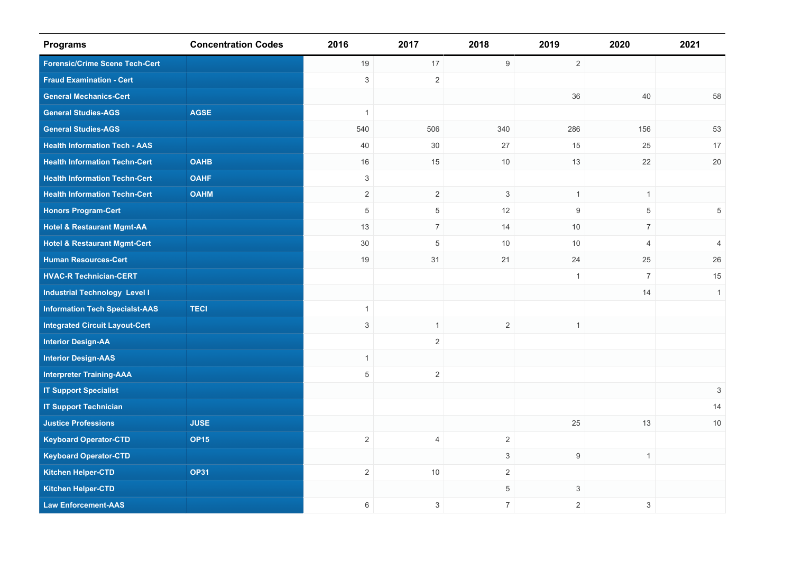| <b>Programs</b>                         | <b>Concentration Codes</b> | 2016           | 2017           | 2018           | 2019             | 2020           | 2021                      |
|-----------------------------------------|----------------------------|----------------|----------------|----------------|------------------|----------------|---------------------------|
| <b>Forensic/Crime Scene Tech-Cert</b>   |                            | 19             | 17             | $9\,$          | 2                |                |                           |
| <b>Fraud Examination - Cert</b>         |                            | $\sqrt{3}$     | $\overline{2}$ |                |                  |                |                           |
| <b>General Mechanics-Cert</b>           |                            |                |                |                | 36               | 40             | 58                        |
| <b>General Studies-AGS</b>              | <b>AGSE</b>                | $\overline{1}$ |                |                |                  |                |                           |
| <b>General Studies-AGS</b>              |                            | 540            | 506            | 340            | 286              | 156            | 53                        |
| <b>Health Information Tech - AAS</b>    |                            | 40             | 30             | 27             | 15               | 25             | 17                        |
| <b>Health Information Techn-Cert</b>    | <b>OAHB</b>                | 16             | 15             | 10             | 13               | 22             | $20\,$                    |
| <b>Health Information Techn-Cert</b>    | <b>OAHF</b>                | $\mathbf{3}$   |                |                |                  |                |                           |
| <b>Health Information Techn-Cert</b>    | <b>OAHM</b>                | $\sqrt{2}$     | $\overline{2}$ | 3              | $\mathbf{1}$     | $\mathbf{1}$   |                           |
| <b>Honors Program-Cert</b>              |                            | $\,$ 5 $\,$    | 5              | 12             | $\boldsymbol{9}$ | $\,$ 5 $\,$    | 5                         |
| <b>Hotel &amp; Restaurant Mgmt-AA</b>   |                            | 13             | $\overline{7}$ | 14             | 10               | $\overline{7}$ |                           |
| <b>Hotel &amp; Restaurant Mgmt-Cert</b> |                            | $30\,$         | $\,$ 5 $\,$    | 10             | 10               | $\overline{4}$ | $\overline{4}$            |
| <b>Human Resources-Cert</b>             |                            | 19             | 31             | 21             | 24               | 25             | 26                        |
| <b>HVAC-R Technician-CERT</b>           |                            |                |                |                | $\mathbf{1}$     | $\overline{7}$ | 15                        |
| <b>Industrial Technology Level I</b>    |                            |                |                |                |                  | 14             | $\mathbf{1}$              |
| <b>Information Tech Specialst-AAS</b>   | <b>TECI</b>                | $\mathbf{1}$   |                |                |                  |                |                           |
| <b>Integrated Circuit Layout-Cert</b>   |                            | $\sqrt{3}$     | $\mathbf{1}$   | $\overline{2}$ | $\mathbf{1}$     |                |                           |
| <b>Interior Design-AA</b>               |                            |                | $\overline{2}$ |                |                  |                |                           |
| <b>Interior Design-AAS</b>              |                            | $\mathbf{1}$   |                |                |                  |                |                           |
| <b>Interpreter Training-AAA</b>         |                            | $\sqrt{5}$     | $\overline{2}$ |                |                  |                |                           |
| <b>IT Support Specialist</b>            |                            |                |                |                |                  |                | $\ensuremath{\mathsf{3}}$ |
| <b>IT Support Technician</b>            |                            |                |                |                |                  |                | 14                        |
| <b>Justice Professions</b>              | <b>JUSE</b>                |                |                |                | 25               | 13             | $10$                      |
| <b>Keyboard Operator-CTD</b>            | <b>OP15</b>                | $\overline{2}$ | $\overline{4}$ | $\overline{c}$ |                  |                |                           |
| <b>Keyboard Operator-CTD</b>            |                            |                |                | $\mathfrak{S}$ | $9\,$            | $\mathbf{1}$   |                           |
| <b>Kitchen Helper-CTD</b>               | <b>OP31</b>                | $\overline{2}$ | 10             | $\overline{c}$ |                  |                |                           |
| <b>Kitchen Helper-CTD</b>               |                            |                |                | 5              | 3                |                |                           |
| <b>Law Enforcement-AAS</b>              |                            | 6              | 3              | $\overline{7}$ | $\overline{2}$   | $\mathsf 3$    |                           |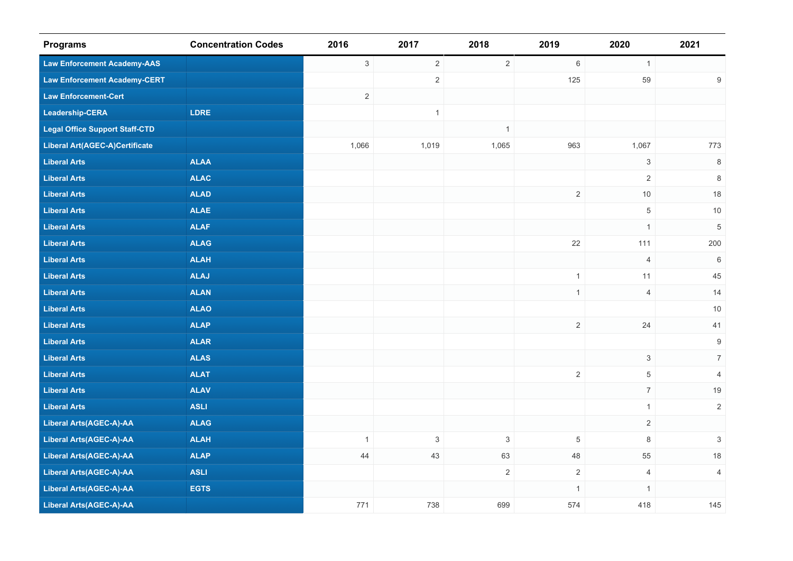| <b>Programs</b>                       | <b>Concentration Codes</b> | 2016           | 2017                      | 2018           | 2019           | 2020           | 2021                      |
|---------------------------------------|----------------------------|----------------|---------------------------|----------------|----------------|----------------|---------------------------|
| <b>Law Enforcement Academy-AAS</b>    |                            | $\mathbf{3}$   | $\overline{2}$            | $\overline{2}$ | $\,6\,$        | $\mathbf{1}$   |                           |
| <b>Law Enforcement Academy-CERT</b>   |                            |                | $\sqrt{2}$                |                | 125            | 59             | $\boldsymbol{9}$          |
| <b>Law Enforcement-Cert</b>           |                            | $\overline{2}$ |                           |                |                |                |                           |
| Leadership-CERA                       | <b>LDRE</b>                |                | $\mathbf{1}$              |                |                |                |                           |
| <b>Legal Office Support Staff-CTD</b> |                            |                |                           | $\mathbf{1}$   |                |                |                           |
| Liberal Art(AGEC-A)Certificate        |                            | 1,066          | 1,019                     | 1,065          | 963            | 1,067          | 773                       |
| <b>Liberal Arts</b>                   | <b>ALAA</b>                |                |                           |                |                | $\mathsf 3$    | $\,8\,$                   |
| <b>Liberal Arts</b>                   | <b>ALAC</b>                |                |                           |                |                | $\overline{2}$ | 8                         |
| <b>Liberal Arts</b>                   | <b>ALAD</b>                |                |                           |                | $\overline{2}$ | $10$           | 18                        |
| <b>Liberal Arts</b>                   | <b>ALAE</b>                |                |                           |                |                | $\sqrt{5}$     | $10$                      |
| <b>Liberal Arts</b>                   | <b>ALAF</b>                |                |                           |                |                | $\mathbf{1}$   | $\,$ 5 $\,$               |
| <b>Liberal Arts</b>                   | <b>ALAG</b>                |                |                           |                | 22             | 111            | 200                       |
| <b>Liberal Arts</b>                   | <b>ALAH</b>                |                |                           |                |                | $\overline{4}$ | 6                         |
| <b>Liberal Arts</b>                   | <b>ALAJ</b>                |                |                           |                | $\mathbf{1}$   | 11             | 45                        |
| <b>Liberal Arts</b>                   | <b>ALAN</b>                |                |                           |                | $\mathbf{1}$   | $\overline{4}$ | 14                        |
| <b>Liberal Arts</b>                   | <b>ALAO</b>                |                |                           |                |                |                | $10$                      |
| <b>Liberal Arts</b>                   | <b>ALAP</b>                |                |                           |                | $\overline{2}$ | 24             | 41                        |
| <b>Liberal Arts</b>                   | <b>ALAR</b>                |                |                           |                |                |                | $\boldsymbol{9}$          |
| <b>Liberal Arts</b>                   | <b>ALAS</b>                |                |                           |                |                | $\mathbf{3}$   | $\overline{7}$            |
| <b>Liberal Arts</b>                   | <b>ALAT</b>                |                |                           |                | $\sqrt{2}$     | $\,$ 5 $\,$    | $\overline{4}$            |
| <b>Liberal Arts</b>                   | <b>ALAV</b>                |                |                           |                |                | $\overline{7}$ | $19$                      |
| <b>Liberal Arts</b>                   | <b>ASLI</b>                |                |                           |                |                | $\mathbf{1}$   | $\overline{2}$            |
| <b>Liberal Arts(AGEC-A)-AA</b>        | <b>ALAG</b>                |                |                           |                |                | $\overline{2}$ |                           |
| <b>Liberal Arts(AGEC-A)-AA</b>        | <b>ALAH</b>                | $\mathbf{1}$   | $\ensuremath{\mathsf{3}}$ | $\mathsf 3$    | $\,$ 5 $\,$    | $\,8\,$        | $\ensuremath{\mathsf{3}}$ |
| <b>Liberal Arts(AGEC-A)-AA</b>        | <b>ALAP</b>                | 44             | 43                        | 63             | 48             | 55             | $18$                      |
| <b>Liberal Arts(AGEC-A)-AA</b>        | <b>ASLI</b>                |                |                           | $\overline{c}$ | $\sqrt{2}$     | $\overline{4}$ | $\overline{4}$            |
| Liberal Arts(AGEC-A)-AA               | <b>EGTS</b>                |                |                           |                | $\mathbf{1}$   | $\mathbf{1}$   |                           |
| <b>Liberal Arts(AGEC-A)-AA</b>        |                            | 771            | 738                       | 699            | 574            | 418            | 145                       |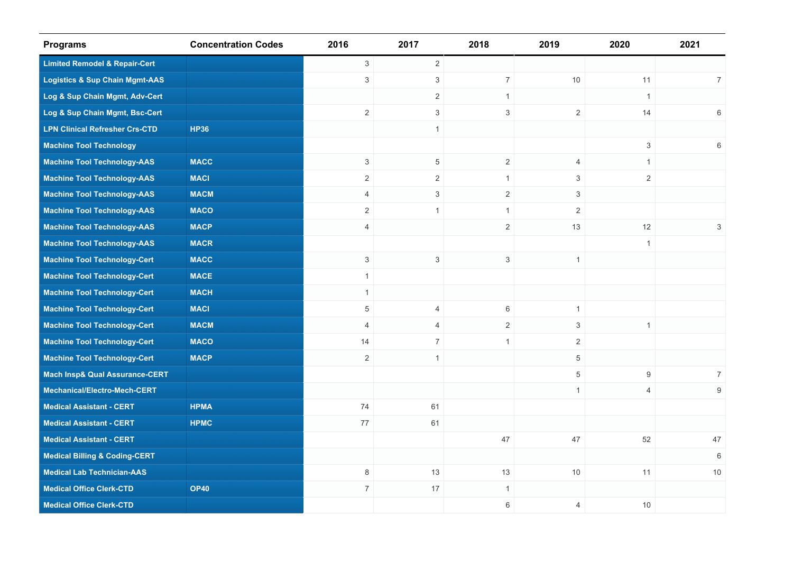| <b>Programs</b>                           | <b>Concentration Codes</b> | 2016           | 2017             | 2018           | 2019           | 2020           | 2021           |
|-------------------------------------------|----------------------------|----------------|------------------|----------------|----------------|----------------|----------------|
| <b>Limited Remodel &amp; Repair-Cert</b>  |                            | $\mathfrak{S}$ | $\overline{2}$   |                |                |                |                |
| <b>Logistics &amp; Sup Chain Mgmt-AAS</b> |                            | 3              | $\mathbf{3}$     | $\overline{7}$ | 10             | 11             | $7^{\circ}$    |
| Log & Sup Chain Mgmt, Adv-Cert            |                            |                | 2                | $\mathbf{1}$   |                | $\mathbf{1}$   |                |
| Log & Sup Chain Mgmt, Bsc-Cert            |                            | $\overline{2}$ | 3                | 3              | $\overline{2}$ | 14             | 6              |
| <b>LPN Clinical Refresher Crs-CTD</b>     | <b>HP36</b>                |                | $\mathbf{1}$     |                |                |                |                |
| <b>Machine Tool Technology</b>            |                            |                |                  |                |                | 3              | 6              |
| <b>Machine Tool Technology-AAS</b>        | <b>MACC</b>                | $\mathfrak{Z}$ | 5                | 2              | 4              | $\mathbf{1}$   |                |
| <b>Machine Tool Technology-AAS</b>        | <b>MACI</b>                | 2              | 2                | $\mathbf{1}$   | 3              | 2              |                |
| <b>Machine Tool Technology-AAS</b>        | <b>MACM</b>                | $\overline{4}$ | 3                | 2              | 3              |                |                |
| <b>Machine Tool Technology-AAS</b>        | <b>MACO</b>                | $\sqrt{2}$     | $\mathbf{1}$     | $\mathbf{1}$   | $\overline{2}$ |                |                |
| <b>Machine Tool Technology-AAS</b>        | <b>MACP</b>                | 4              |                  | $\overline{2}$ | 13             | 12             | 3              |
| <b>Machine Tool Technology-AAS</b>        | <b>MACR</b>                |                |                  |                |                | $\mathbf{1}$   |                |
| <b>Machine Tool Technology-Cert</b>       | <b>MACC</b>                | 3              | 3                | 3              | $\mathbf{1}$   |                |                |
| <b>Machine Tool Technology-Cert</b>       | <b>MACE</b>                | $\mathbf{1}$   |                  |                |                |                |                |
| <b>Machine Tool Technology-Cert</b>       | <b>MACH</b>                | $\mathbf{1}$   |                  |                |                |                |                |
| <b>Machine Tool Technology-Cert</b>       | <b>MACI</b>                | 5              | $\overline{4}$   | 6              | $\mathbf{1}$   |                |                |
| <b>Machine Tool Technology-Cert</b>       | <b>MACM</b>                | $\overline{4}$ | $\overline{4}$   | 2              | 3              | $\mathbf{1}$   |                |
| <b>Machine Tool Technology-Cert</b>       | <b>MACO</b>                | 14             | $\boldsymbol{7}$ | $\mathbf{1}$   | $\overline{2}$ |                |                |
| <b>Machine Tool Technology-Cert</b>       | <b>MACP</b>                | 2              | $\mathbf{1}$     |                | 5              |                |                |
| <b>Mach Insp&amp; Qual Assurance-CERT</b> |                            |                |                  |                | $\,$ 5 $\,$    | $9\,$          | $\overline{7}$ |
| Mechanical/Electro-Mech-CERT              |                            |                |                  |                | $\mathbf{1}$   | $\overline{4}$ | 9              |
| <b>Medical Assistant - CERT</b>           | <b>HPMA</b>                | 74             | 61               |                |                |                |                |
| <b>Medical Assistant - CERT</b>           | <b>HPMC</b>                | 77             | 61               |                |                |                |                |
| <b>Medical Assistant - CERT</b>           |                            |                |                  | 47             | 47             | 52             | 47             |
| <b>Medical Billing &amp; Coding-CERT</b>  |                            |                |                  |                |                |                | 6              |
| <b>Medical Lab Technician-AAS</b>         |                            | 8              | 13               | 13             | 10             | 11             | 10             |
| <b>Medical Office Clerk-CTD</b>           | <b>OP40</b>                | $\overline{7}$ | 17               | $\mathbf{1}$   |                |                |                |
| <b>Medical Office Clerk-CTD</b>           |                            |                |                  | $\,6\,$        | $\overline{4}$ | 10             |                |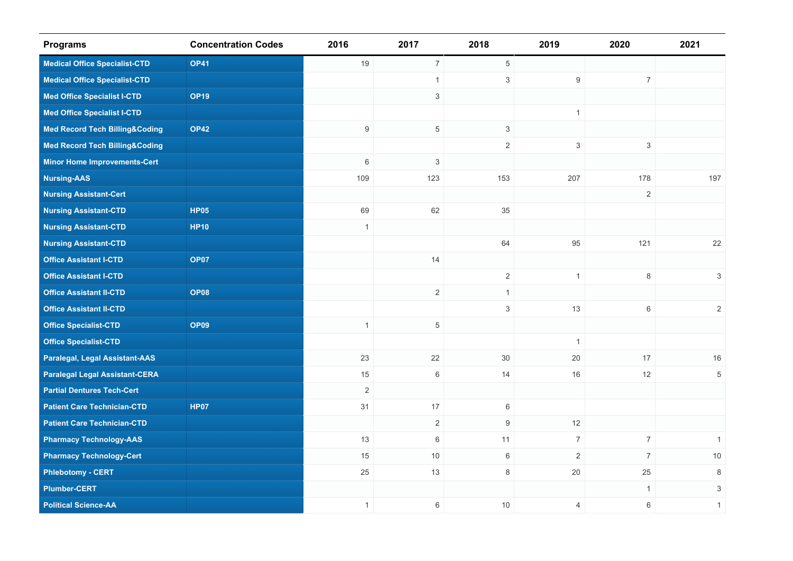| <b>Programs</b>                           | <b>Concentration Codes</b> | 2016             | 2017                      | 2018           | 2019           | 2020           | 2021                      |
|-------------------------------------------|----------------------------|------------------|---------------------------|----------------|----------------|----------------|---------------------------|
| <b>Medical Office Specialist-CTD</b>      | <b>OP41</b>                | 19               | $\overline{7}$            | 5              |                |                |                           |
| <b>Medical Office Specialist-CTD</b>      |                            |                  | $\mathbf{1}$              | $\mathbf{3}$   | 9              | $\overline{7}$ |                           |
| <b>Med Office Specialist I-CTD</b>        | <b>OP19</b>                |                  | $\mathbf{3}$              |                |                |                |                           |
| <b>Med Office Specialist I-CTD</b>        |                            |                  |                           |                | $\mathbf{1}$   |                |                           |
| <b>Med Record Tech Billing&amp;Coding</b> | <b>OP42</b>                | $\boldsymbol{9}$ | $\overline{5}$            | $\sqrt{3}$     |                |                |                           |
| <b>Med Record Tech Billing&amp;Coding</b> |                            |                  |                           | $\overline{2}$ | $\mathsf 3$    | $\mathsf 3$    |                           |
| <b>Minor Home Improvements-Cert</b>       |                            | 6                | $\ensuremath{\mathsf{3}}$ |                |                |                |                           |
| <b>Nursing-AAS</b>                        |                            | 109              | 123                       | 153            | 207            | 178            | 197                       |
| <b>Nursing Assistant-Cert</b>             |                            |                  |                           |                |                | 2              |                           |
| <b>Nursing Assistant-CTD</b>              | <b>HP05</b>                | 69               | 62                        | 35             |                |                |                           |
| <b>Nursing Assistant-CTD</b>              | <b>HP10</b>                | $\mathbf{1}$     |                           |                |                |                |                           |
| <b>Nursing Assistant-CTD</b>              |                            |                  |                           | 64             | 95             | 121            | 22                        |
| <b>Office Assistant I-CTD</b>             | <b>OP07</b>                |                  | 14                        |                |                |                |                           |
| <b>Office Assistant I-CTD</b>             |                            |                  |                           | $\overline{2}$ | $\mathbf{1}$   | $\,8\,$        | $\ensuremath{\mathsf{3}}$ |
| <b>Office Assistant II-CTD</b>            | <b>OP08</b>                |                  | 2                         | $\mathbf{1}$   |                |                |                           |
| <b>Office Assistant II-CTD</b>            |                            |                  |                           | $\mathfrak{S}$ | 13             | $\,6\,$        | $\overline{2}$            |
| <b>Office Specialist-CTD</b>              | <b>OP09</b>                | $\mathbf{1}$     | $\overline{5}$            |                |                |                |                           |
| <b>Office Specialist-CTD</b>              |                            |                  |                           |                | $\mathbf{1}$   |                |                           |
| <b>Paralegal, Legal Assistant-AAS</b>     |                            | 23               | 22                        | 30             | 20             | 17             | 16                        |
| <b>Paralegal Legal Assistant-CERA</b>     |                            | 15               | $\,6\,$                   | 14             | $16$           | 12             | $\overline{5}$            |
| <b>Partial Dentures Tech-Cert</b>         |                            | $\overline{2}$   |                           |                |                |                |                           |
| <b>Patient Care Technician-CTD</b>        | <b>HP07</b>                | 31               | 17                        | 6              |                |                |                           |
| <b>Patient Care Technician-CTD</b>        |                            |                  | 2                         | 9              | 12             |                |                           |
| <b>Pharmacy Technology-AAS</b>            |                            | 13               | $\,6\,$                   | 11             | $\overline{7}$ | $\overline{7}$ | $\mathbf{1}$              |
| <b>Pharmacy Technology-Cert</b>           |                            | 15               | 10                        | $\,6\,$        | $\sqrt{2}$     | $\overline{7}$ | 10                        |
| <b>Phlebotomy - CERT</b>                  |                            | $25\,$           | 13                        | $\,8\,$        | $20\,$         | 25             | $\,8\,$                   |
| <b>Plumber-CERT</b>                       |                            |                  |                           |                |                | $\mathbf{1}$   | 3                         |
| <b>Political Science-AA</b>               |                            | $\mathbf{1}$     | $\,6\,$                   | 10             | $\overline{4}$ | $\,6\,$        | $\mathbf{1}$              |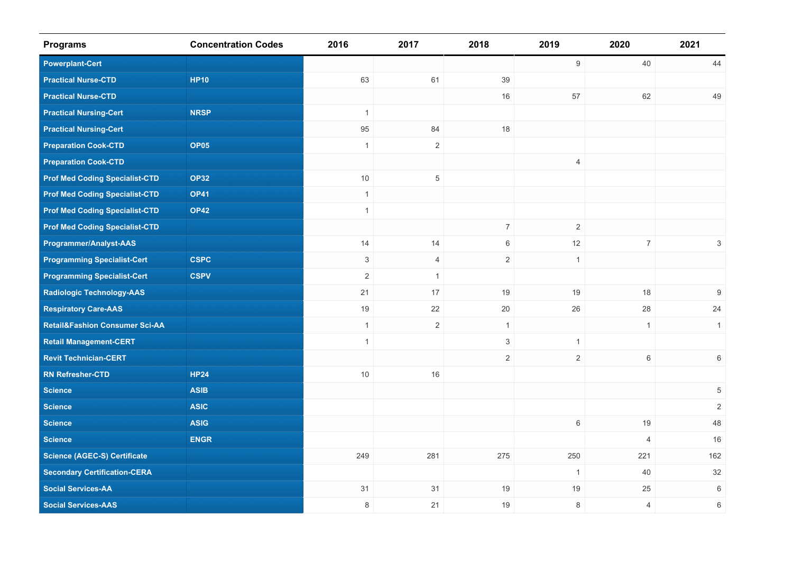| <b>Programs</b>                           | <b>Concentration Codes</b> | 2016           | 2017           | 2018                      | 2019           | 2020             | 2021           |
|-------------------------------------------|----------------------------|----------------|----------------|---------------------------|----------------|------------------|----------------|
| <b>Powerplant-Cert</b>                    |                            |                |                |                           | $9\,$          | 40               | 44             |
| <b>Practical Nurse-CTD</b>                | <b>HP10</b>                | 63             | 61             | 39                        |                |                  |                |
| <b>Practical Nurse-CTD</b>                |                            |                |                | 16                        | 57             | 62               | 49             |
| <b>Practical Nursing-Cert</b>             | <b>NRSP</b>                | $\mathbf{1}$   |                |                           |                |                  |                |
| <b>Practical Nursing-Cert</b>             |                            | 95             | 84             | 18                        |                |                  |                |
| <b>Preparation Cook-CTD</b>               | <b>OP05</b>                | $\mathbf{1}$   | $\overline{2}$ |                           |                |                  |                |
| <b>Preparation Cook-CTD</b>               |                            |                |                |                           | $\overline{4}$ |                  |                |
| <b>Prof Med Coding Specialist-CTD</b>     | <b>OP32</b>                | $10$           | $\,$ 5 $\,$    |                           |                |                  |                |
| <b>Prof Med Coding Specialist-CTD</b>     | <b>OP41</b>                | $\overline{1}$ |                |                           |                |                  |                |
| <b>Prof Med Coding Specialist-CTD</b>     | <b>OP42</b>                | $\mathbf{1}$   |                |                           |                |                  |                |
| <b>Prof Med Coding Specialist-CTD</b>     |                            |                |                | $\boldsymbol{7}$          | $\overline{2}$ |                  |                |
| Programmer/Analyst-AAS                    |                            | 14             | 14             | $\,6\,$                   | $12\,$         | $\boldsymbol{7}$ | $\,$ 3 $\,$    |
| <b>Programming Specialist-Cert</b>        | <b>CSPC</b>                | 3              | $\overline{4}$ | 2                         | $\mathbf{1}$   |                  |                |
| <b>Programming Specialist-Cert</b>        | <b>CSPV</b>                | $\sqrt{2}$     | $\mathbf{1}$   |                           |                |                  |                |
| <b>Radiologic Technology-AAS</b>          |                            | 21             | 17             | 19                        | 19             | 18               | 9              |
| <b>Respiratory Care-AAS</b>               |                            | 19             | 22             | 20                        | 26             | 28               | 24             |
| <b>Retail&amp;Fashion Consumer Sci-AA</b> |                            | $\mathbf{1}$   | $\overline{2}$ | $\mathbf{1}$              |                | $\mathbf{1}$     | $\mathbf{1}$   |
| <b>Retail Management-CERT</b>             |                            | $\mathbf{1}$   |                | $\ensuremath{\mathsf{3}}$ | $\overline{1}$ |                  |                |
| <b>Revit Technician-CERT</b>              |                            |                |                | $\mathbf{2}$              | $\overline{2}$ | $6\,$            | $\,6\,$        |
| <b>RN Refresher-CTD</b>                   | <b>HP24</b>                | $10$           | 16             |                           |                |                  |                |
| <b>Science</b>                            | <b>ASIB</b>                |                |                |                           |                |                  | 5              |
| <b>Science</b>                            | <b>ASIC</b>                |                |                |                           |                |                  | $\overline{2}$ |
| <b>Science</b>                            | <b>ASIG</b>                |                |                |                           | 6              | 19               | 48             |
| <b>Science</b>                            | <b>ENGR</b>                |                |                |                           |                | $\overline{4}$   | 16             |
| <b>Science (AGEC-S) Certificate</b>       |                            | 249            | 281            | 275                       | 250            | 221              | 162            |
| <b>Secondary Certification-CERA</b>       |                            |                |                |                           | $\mathbf{1}$   | 40               | 32             |
| <b>Social Services-AA</b>                 |                            | 31             | 31             | 19                        | 19             | 25               | 6              |
| <b>Social Services-AAS</b>                |                            | 8              | 21             | 19                        | 8              | $\overline{4}$   | 6              |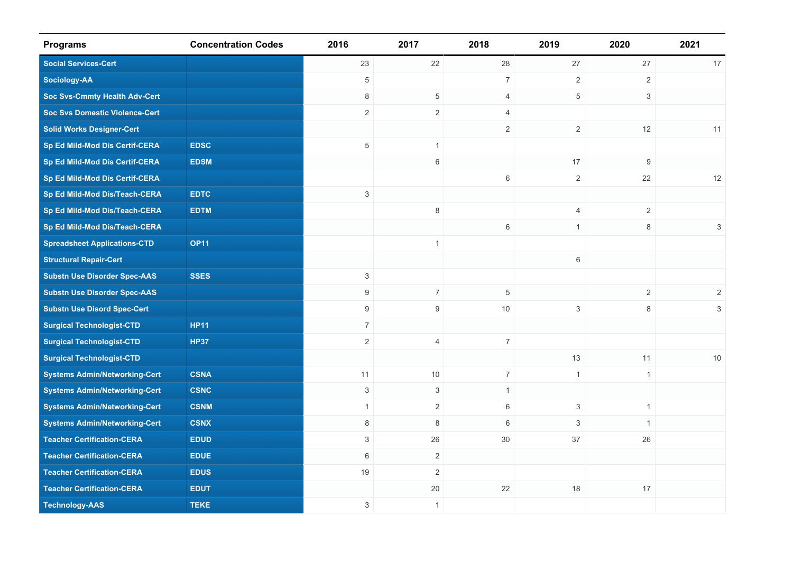| <b>Programs</b>                       | <b>Concentration Codes</b> | 2016                      | 2017           | 2018           | 2019           | 2020           | 2021           |
|---------------------------------------|----------------------------|---------------------------|----------------|----------------|----------------|----------------|----------------|
| <b>Social Services-Cert</b>           |                            | 23                        | 22             | 28             | 27             | 27             | 17             |
| <b>Sociology-AA</b>                   |                            | 5                         |                | $\overline{7}$ | $\overline{2}$ | $\overline{2}$ |                |
| <b>Soc Svs-Cmmty Health Adv-Cert</b>  |                            | 8                         | $\overline{5}$ | 4              | 5              | 3              |                |
| <b>Soc Svs Domestic Violence-Cert</b> |                            | $\overline{2}$            | $\mathbf{2}$   | $\overline{4}$ |                |                |                |
| <b>Solid Works Designer-Cert</b>      |                            |                           |                | 2              | $\overline{2}$ | 12             | 11             |
| Sp Ed Mild-Mod Dis Certif-CERA        | <b>EDSC</b>                | 5                         | $\mathbf{1}$   |                |                |                |                |
| Sp Ed Mild-Mod Dis Certif-CERA        | <b>EDSM</b>                |                           | 6              |                | 17             | 9              |                |
| Sp Ed Mild-Mod Dis Certif-CERA        |                            |                           |                | $\,6\,$        | $\overline{2}$ | 22             | 12             |
| Sp Ed Mild-Mod Dis/Teach-CERA         | <b>EDTC</b>                | $\mathsf 3$               |                |                |                |                |                |
| Sp Ed Mild-Mod Dis/Teach-CERA         | <b>EDTM</b>                |                           | $\,8\,$        |                | 4              | $\overline{2}$ |                |
| Sp Ed Mild-Mod Dis/Teach-CERA         |                            |                           |                | 6              | $\mathbf{1}$   | 8              | 3              |
| <b>Spreadsheet Applications-CTD</b>   | <b>OP11</b>                |                           | $\mathbf{1}$   |                |                |                |                |
| <b>Structural Repair-Cert</b>         |                            |                           |                |                | 6              |                |                |
| <b>Substn Use Disorder Spec-AAS</b>   | <b>SSES</b>                | $\ensuremath{\mathsf{3}}$ |                |                |                |                |                |
| <b>Substn Use Disorder Spec-AAS</b>   |                            | $\boldsymbol{9}$          | $\overline{7}$ | $\,$ 5 $\,$    |                | $\overline{2}$ | $\overline{2}$ |
| <b>Substn Use Disord Spec-Cert</b>    |                            | 9                         | $9\,$          | 10             | 3              | 8              | 3              |
| <b>Surgical Technologist-CTD</b>      | <b>HP11</b>                | $\overline{7}$            |                |                |                |                |                |
| <b>Surgical Technologist-CTD</b>      | <b>HP37</b>                | $\overline{2}$            | $\overline{4}$ | $\overline{7}$ |                |                |                |
| <b>Surgical Technologist-CTD</b>      |                            |                           |                |                | 13             | 11             | 10             |
| <b>Systems Admin/Networking-Cert</b>  | <b>CSNA</b>                | 11                        | 10             | $\overline{7}$ | $\mathbf{1}$   | $\mathbf{1}$   |                |
| <b>Systems Admin/Networking-Cert</b>  | <b>CSNC</b>                | $\mathsf 3$               | $\mathfrak{S}$ | $\mathbf{1}$   |                |                |                |
| <b>Systems Admin/Networking-Cert</b>  | <b>CSNM</b>                | $\mathbf{1}$              | $\overline{2}$ | 6              | 3              | $\mathbf{1}$   |                |
| <b>Systems Admin/Networking-Cert</b>  | <b>CSNX</b>                | 8                         | 8              | 6              | 3              | $\mathbf{1}$   |                |
| <b>Teacher Certification-CERA</b>     | <b>EDUD</b>                | 3                         | 26             | 30             | 37             | 26             |                |
| <b>Teacher Certification-CERA</b>     | <b>EDUE</b>                | 6                         | $\sqrt{2}$     |                |                |                |                |
| <b>Teacher Certification-CERA</b>     | <b>EDUS</b>                | 19                        | $\mathbf{2}$   |                |                |                |                |
| <b>Teacher Certification-CERA</b>     | <b>EDUT</b>                |                           | 20             | 22             | 18             | 17             |                |
| <b>Technology-AAS</b>                 | <b>TEKE</b>                | $\,$ 3 $\,$               | $\mathbf{1}$   |                |                |                |                |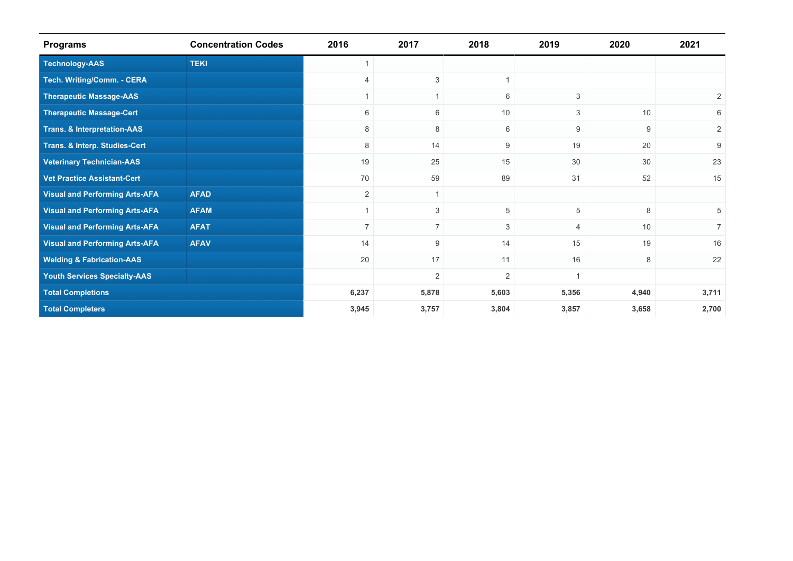| <b>Programs</b>                        | <b>Concentration Codes</b> | 2016           | 2017           | 2018           | 2019        | 2020             | 2021           |
|----------------------------------------|----------------------------|----------------|----------------|----------------|-------------|------------------|----------------|
| <b>Technology-AAS</b>                  | <b>TEKI</b>                |                |                |                |             |                  |                |
| Tech. Writing/Comm. - CERA             |                            | $\overline{4}$ | $\mathbf{3}$   | 1              |             |                  |                |
| <b>Therapeutic Massage-AAS</b>         |                            |                | $\mathbf{1}$   | 6              | 3           |                  | 2              |
| <b>Therapeutic Massage-Cert</b>        |                            | 6              | 6              | 10             | 3           | 10               | 6              |
| <b>Trans. &amp; Interpretation-AAS</b> |                            | 8              | 8              | 6              | 9           | $\boldsymbol{9}$ | $\overline{2}$ |
| Trans. & Interp. Studies-Cert          |                            | 8              | 14             | 9              | 19          | 20               | 9              |
| <b>Veterinary Technician-AAS</b>       |                            | 19             | 25             | 15             | 30          | 30               | 23             |
| <b>Vet Practice Assistant-Cert</b>     |                            | 70             | 59             | 89             | 31          | 52               | 15             |
| <b>Visual and Performing Arts-AFA</b>  | <b>AFAD</b>                | 2              | $\mathbf{1}$   |                |             |                  |                |
| <b>Visual and Performing Arts-AFA</b>  | <b>AFAM</b>                |                | 3              | $\,$ 5 $\,$    | $\,$ 5 $\,$ | 8                | 5              |
| <b>Visual and Performing Arts-AFA</b>  | <b>AFAT</b>                | $\overline{7}$ | $\overline{7}$ | 3              | 4           | 10               | $\overline{7}$ |
| <b>Visual and Performing Arts-AFA</b>  | <b>AFAV</b>                | 14             | $9\,$          | 14             | 15          | 19               | 16             |
| <b>Welding &amp; Fabrication-AAS</b>   |                            | 20             | 17             | 11             | 16          | 8                | 22             |
| <b>Youth Services Specialty-AAS</b>    |                            |                | $\mathbf{2}$   | $\overline{2}$ |             |                  |                |
| <b>Total Completions</b>               |                            | 6,237          | 5,878          | 5,603          | 5,356       | 4,940            | 3,711          |
| <b>Total Completers</b>                | 3,945                      | 3,757          | 3,804          | 3,857          | 3,658       | 2,700            |                |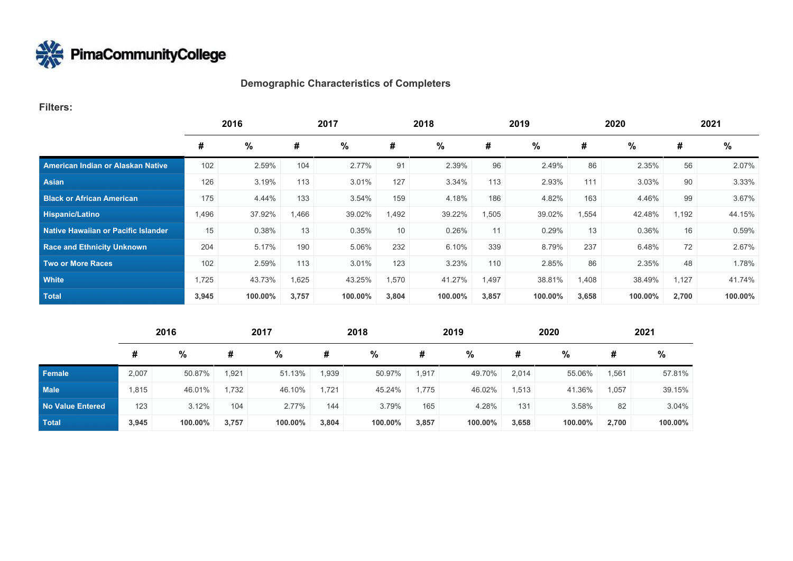

# **Demographic Characteristics of Completers**

#### **Filters:**

|                                          | 2016  |         | 2017  |         | 2018            |         | 2019  |         | 2020  |         | 2021  |         |
|------------------------------------------|-------|---------|-------|---------|-----------------|---------|-------|---------|-------|---------|-------|---------|
|                                          | #     | $\%$    | #     | %       | #               | %       | #     | %       | #     | %       | #     | %       |
| <b>American Indian or Alaskan Native</b> | 102   | 2.59%   | 104   | 2.77%   | 91              | 2.39%   | 96    | 2.49%   | 86    | 2.35%   | 56    | 2.07%   |
| Asian                                    | 126   | 3.19%   | 113   | 3.01%   | 127             | 3.34%   | 113   | 2.93%   | 111   | 3.03%   | 90    | 3.33%   |
| <b>Black or African American</b>         | 175   | 4.44%   | 133   | 3.54%   | 159             | 4.18%   | 186   | 4.82%   | 163   | 4.46%   | 99    | 3.67%   |
| <b>Hispanic/Latino</b>                   | 1,496 | 37.92%  | 1,466 | 39.02%  | 1,492           | 39.22%  | 1,505 | 39.02%  | 1,554 | 42.48%  | 1,192 | 44.15%  |
| Native Hawaiian or Pacific Islander      | 15    | 0.38%   | 13    | 0.35%   | 10 <sup>°</sup> | 0.26%   | 11    | 0.29%   | 13    | 0.36%   | 16    | 0.59%   |
| <b>Race and Ethnicity Unknown</b>        | 204   | 5.17%   | 190   | 5.06%   | 232             | 6.10%   | 339   | 8.79%   | 237   | 6.48%   | 72    | 2.67%   |
| <b>Two or More Races</b>                 | 102   | 2.59%   | 113   | 3.01%   | 123             | 3.23%   | 110   | 2.85%   | 86    | 2.35%   | 48    | 1.78%   |
| <b>White</b>                             | 1,725 | 43.73%  | 1,625 | 43.25%  | 1,570           | 41.27%  | 1,497 | 38.81%  | 1,408 | 38.49%  | 1,127 | 41.74%  |
| <b>Total</b>                             | 3,945 | 100.00% | 3,757 | 100.00% | 3,804           | 100.00% | 3,857 | 100.00% | 3,658 | 100.00% | 2,700 | 100.00% |

|                         | 2016  |         |       | 2017    |       | 2018    |       | 2019    |       | 2020    |       | 2021    |  |
|-------------------------|-------|---------|-------|---------|-------|---------|-------|---------|-------|---------|-------|---------|--|
|                         | #     | %       | #     | $\%$    | #     | %       | #     | %       | #     | %       | #     | $\%$    |  |
| Female                  | 2,007 | 50.87%  | 1,921 | 51.13%  | .939  | 50.97%  | 1,917 | 49.70%  | 2,014 | 55.06%  | 1,561 | 57.81%  |  |
| <b>Male</b>             | 1,815 | 46.01%  | 1,732 | 46.10%  | 1.721 | 45.24%  | 1.775 | 46.02%  | 1,513 | 41.36%  | 1,057 | 39.15%  |  |
| <b>No Value Entered</b> | 123   | 3.12%   | 104   | 2.77%   | 144   | 3.79%   | 165   | 4.28%   | 131   | 3.58%   | 82    | 3.04%   |  |
| <b>Total</b>            | 3,945 | 100.00% | 3,757 | 100.00% | 3,804 | 100.00% | 3,857 | 100.00% | 3,658 | 100.00% | 2,700 | 100.00% |  |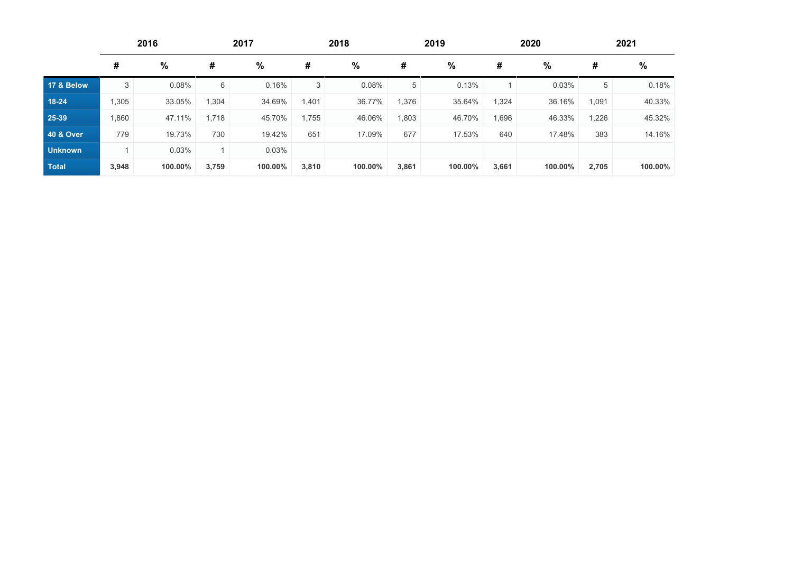|                      | 2016<br>2017 |         | 2018  |               |       | 2019    |       | 2020    |       | 2021    |       |         |
|----------------------|--------------|---------|-------|---------------|-------|---------|-------|---------|-------|---------|-------|---------|
|                      | #            | %       | #     | $\frac{0}{0}$ | #     | %       | #     | %       | #     | %       | #     | %       |
| 17 & Below           | 3            | 0.08%   | 6     | 0.16%         | 3     | 0.08%   | 5     | 0.13%   |       | 0.03%   | 5     | 0.18%   |
| $18 - 24$            | 1,305        | 33.05%  | 1,304 | 34.69%        | 1,401 | 36.77%  | 1,376 | 35.64%  | 1,324 | 36.16%  | 1,091 | 40.33%  |
| 25-39                | .860         | 47.11%  | 1,718 | 45.70%        | 1,755 | 46.06%  | 1,803 | 46.70%  | 1,696 | 46.33%  | 1,226 | 45.32%  |
| <b>40 &amp; Over</b> | 779          | 19.73%  | 730   | 19.42%        | 651   | 17.09%  | 677   | 17.53%  | 640   | 17.48%  | 383   | 14.16%  |
| <b>Unknown</b>       |              | 0.03%   |       | 0.03%         |       |         |       |         |       |         |       |         |
| <b>Total</b>         | 3,948        | 100.00% | 3,759 | 100.00%       | 3,810 | 100.00% | 3,861 | 100.00% | 3,661 | 100.00% | 2,705 | 100.00% |